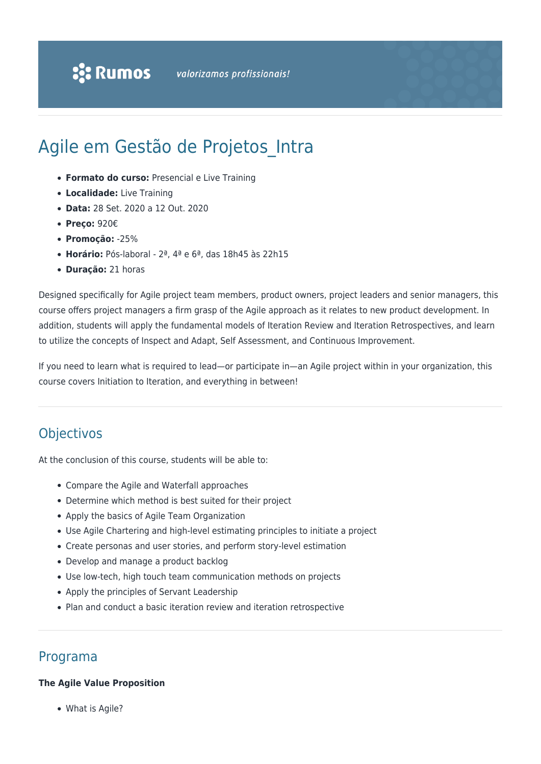# Agile em Gestão de Projetos Intra

- **Formato do curso:** Presencial e Live Training
- **Localidade:** Live Training
- **Data:** 28 Set. 2020 a 12 Out. 2020
- **Preço:** 920€
- **Promoção:** -25%
- **Horário:** Pós-laboral 2ª, 4ª e 6ª, das 18h45 às 22h15
- **Duração:** 21 horas

Designed specifically for Agile project team members, product owners, project leaders and senior managers, this course offers project managers a firm grasp of the Agile approach as it relates to new product development. In addition, students will apply the fundamental models of Iteration Review and Iteration Retrospectives, and learn to utilize the concepts of Inspect and Adapt, Self Assessment, and Continuous Improvement.

If you need to learn what is required to lead—or participate in—an Agile project within in your organization, this course covers Initiation to Iteration, and everything in between!

## **Objectivos**

At the conclusion of this course, students will be able to:

- Compare the Agile and Waterfall approaches
- Determine which method is best suited for their project
- Apply the basics of Agile Team Organization
- Use Agile Chartering and high-level estimating principles to initiate a project
- Create personas and user stories, and perform story-level estimation
- Develop and manage a product backlog
- Use low-tech, high touch team communication methods on projects
- Apply the principles of Servant Leadership
- Plan and conduct a basic iteration review and iteration retrospective

### Programa

#### **The Agile Value Proposition**

What is Agile?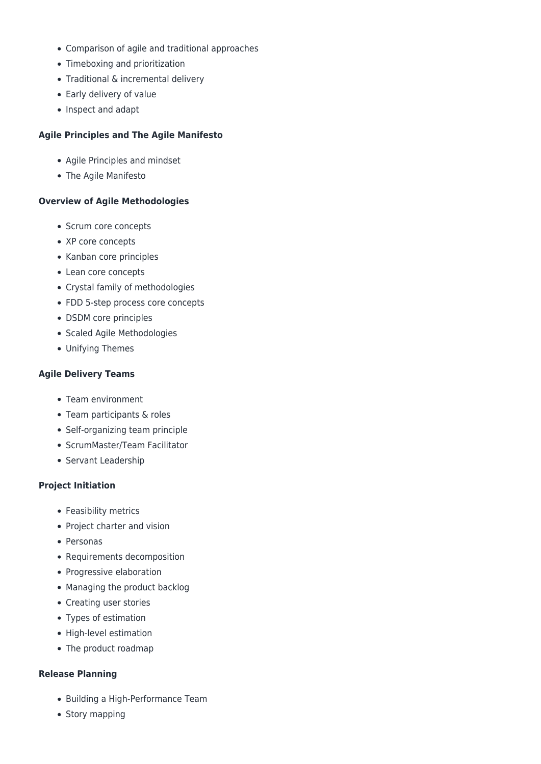- Comparison of agile and traditional approaches
- Timeboxing and prioritization
- Traditional & incremental delivery
- Early delivery of value
- Inspect and adapt

#### **Agile Principles and The Agile Manifesto**

- Agile Principles and mindset
- The Agile Manifesto

#### **Overview of Agile Methodologies**

- Scrum core concepts
- XP core concepts
- Kanban core principles
- Lean core concepts
- Crystal family of methodologies
- FDD 5-step process core concepts
- DSDM core principles
- Scaled Agile Methodologies
- Unifying Themes

#### **Agile Delivery Teams**

- Team environment
- Team participants & roles
- Self-organizing team principle
- ScrumMaster/Team Facilitator
- Servant Leadership

#### **Project Initiation**

- Feasibility metrics
- Project charter and vision
- Personas
- Requirements decomposition
- Progressive elaboration
- Managing the product backlog
- Creating user stories
- Types of estimation
- High-level estimation
- The product roadmap

#### **Release Planning**

- Building a High-Performance Team
- Story mapping